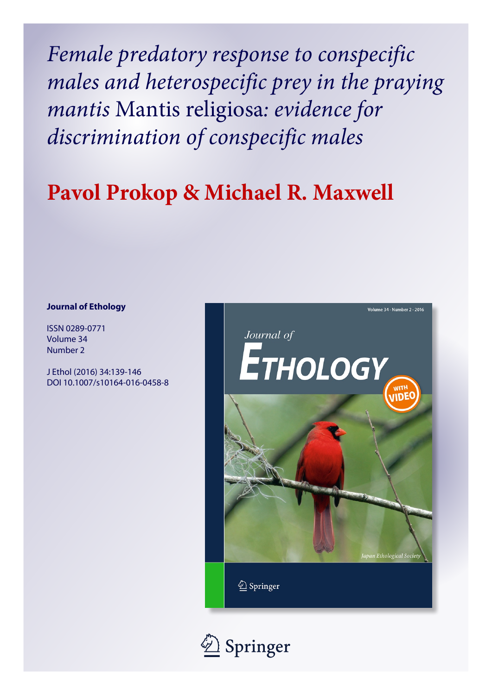*Female predatory response to conspecific males and heterospecific prey in the praying mantis* Mantis religiosa*: evidence for discrimination of conspecific males*

# **Pavol Prokop & Michael R. Maxwell**

# **Journal of Ethology**

ISSN 0289-0771 Volume 34 Number 2

J Ethol (2016) 34:139-146 DOI 10.1007/s10164-016-0458-8



2 Springer

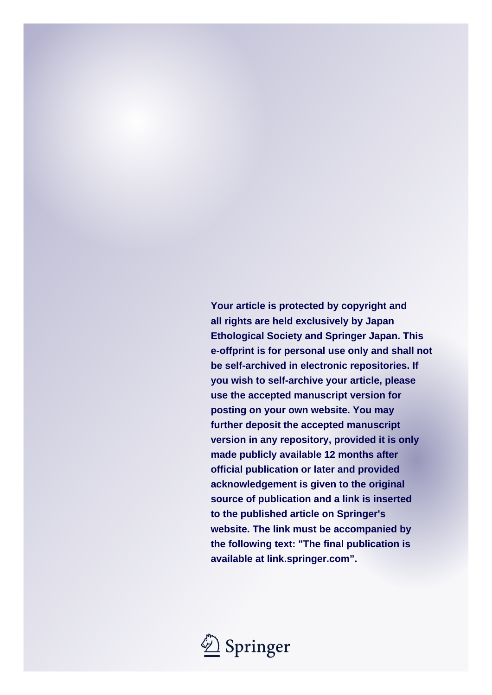**Your article is protected by copyright and all rights are held exclusively by Japan Ethological Society and Springer Japan. This e-offprint is for personal use only and shall not be self-archived in electronic repositories. If you wish to self-archive your article, please use the accepted manuscript version for posting on your own website. You may further deposit the accepted manuscript version in any repository, provided it is only made publicly available 12 months after official publication or later and provided acknowledgement is given to the original source of publication and a link is inserted to the published article on Springer's website. The link must be accompanied by the following text: "The final publication is available at link.springer.com".**

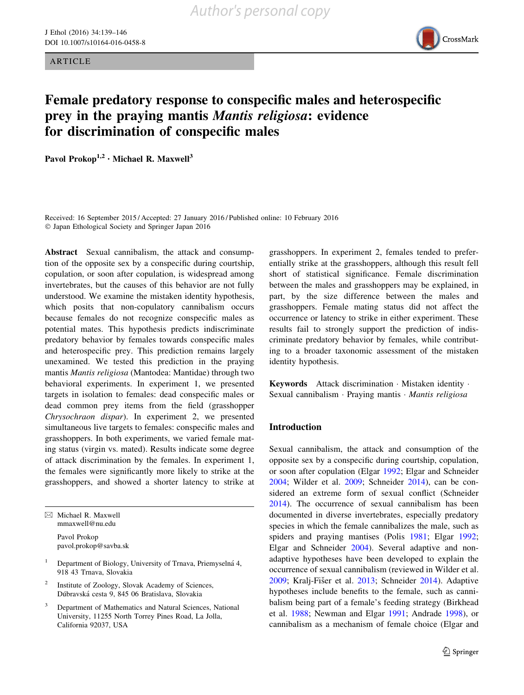**ARTICLE** 



# Female predatory response to conspecific males and heterospecific prey in the praying mantis Mantis religiosa: evidence for discrimination of conspecific males

Pavol Prokop<sup>1,2</sup> · Michael R. Maxwell<sup>3</sup>

Received: 16 September 2015 / Accepted: 27 January 2016 / Published online: 10 February 2016 - Japan Ethological Society and Springer Japan 2016

Abstract Sexual cannibalism, the attack and consumption of the opposite sex by a conspecific during courtship, copulation, or soon after copulation, is widespread among invertebrates, but the causes of this behavior are not fully understood. We examine the mistaken identity hypothesis, which posits that non-copulatory cannibalism occurs because females do not recognize conspecific males as potential mates. This hypothesis predicts indiscriminate predatory behavior by females towards conspecific males and heterospecific prey. This prediction remains largely unexamined. We tested this prediction in the praying mantis Mantis religiosa (Mantodea: Mantidae) through two behavioral experiments. In experiment 1, we presented targets in isolation to females: dead conspecific males or dead common prey items from the field (grasshopper Chrysochraon dispar). In experiment 2, we presented simultaneous live targets to females: conspecific males and grasshoppers. In both experiments, we varied female mating status (virgin vs. mated). Results indicate some degree of attack discrimination by the females. In experiment 1, the females were significantly more likely to strike at the grasshoppers, and showed a shorter latency to strike at

 $\boxtimes$  Michael R. Maxwell mmaxwell@nu.edu Pavol Prokop pavol.prokop@savba.sk

- <sup>1</sup> Department of Biology, University of Trnava, Priemyselná 4, 918 43 Trnava, Slovakia
- Institute of Zoology, Slovak Academy of Sciences, Dúbravská cesta 9, 845 06 Bratislava, Slovakia
- <sup>3</sup> Department of Mathematics and Natural Sciences, National University, 11255 North Torrey Pines Road, La Jolla, California 92037, USA

grasshoppers. In experiment 2, females tended to preferentially strike at the grasshoppers, although this result fell short of statistical significance. Female discrimination between the males and grasshoppers may be explained, in part, by the size difference between the males and grasshoppers. Female mating status did not affect the occurrence or latency to strike in either experiment. These results fail to strongly support the prediction of indiscriminate predatory behavior by females, while contributing to a broader taxonomic assessment of the mistaken identity hypothesis.

Keywords Attack discrimination · Mistaken identity · Sexual cannibalism · Praying mantis · Mantis religiosa

#### Introduction

Sexual cannibalism, the attack and consumption of the opposite sex by a conspecific during courtship, copulation, or soon after copulation (Elgar [1992](#page-8-0); Elgar and Schneider [2004](#page-8-0); Wilder et al. [2009;](#page-9-0) Schneider [2014\)](#page-9-0), can be considered an extreme form of sexual conflict (Schneider [2014](#page-9-0)). The occurrence of sexual cannibalism has been documented in diverse invertebrates, especially predatory species in which the female cannibalizes the male, such as spiders and praying mantises (Polis [1981;](#page-9-0) Elgar [1992](#page-8-0); Elgar and Schneider [2004](#page-8-0)). Several adaptive and nonadaptive hypotheses have been developed to explain the occurrence of sexual cannibalism (reviewed in Wilder et al. [2009](#page-9-0); Kralj-Fišer et al. [2013](#page-9-0); Schneider [2014\)](#page-9-0). Adaptive hypotheses include benefits to the female, such as cannibalism being part of a female's feeding strategy (Birkhead et al. [1988;](#page-8-0) Newman and Elgar [1991](#page-9-0); Andrade [1998](#page-8-0)), or cannibalism as a mechanism of female choice (Elgar and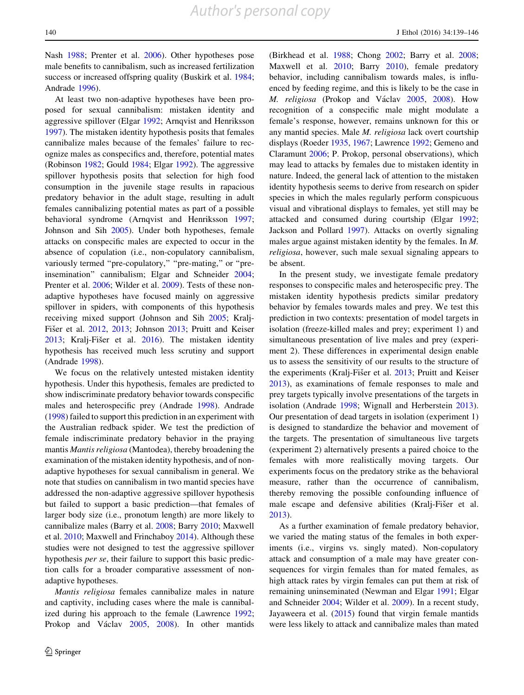Nash [1988](#page-8-0); Prenter et al. [2006\)](#page-9-0). Other hypotheses pose male benefits to cannibalism, such as increased fertilization success or increased offspring quality (Buskirk et al. [1984](#page-8-0); Andrade [1996\)](#page-8-0).

At least two non-adaptive hypotheses have been proposed for sexual cannibalism: mistaken identity and aggressive spillover (Elgar [1992](#page-8-0); Arnqvist and Henriksson [1997\)](#page-8-0). The mistaken identity hypothesis posits that females cannibalize males because of the females' failure to recognize males as conspecifics and, therefore, potential mates (Robinson [1982;](#page-9-0) Gould [1984](#page-8-0); Elgar [1992\)](#page-8-0). The aggressive spillover hypothesis posits that selection for high food consumption in the juvenile stage results in rapacious predatory behavior in the adult stage, resulting in adult females cannibalizing potential mates as part of a possible behavioral syndrome (Arnqvist and Henriksson [1997](#page-8-0); Johnson and Sih [2005](#page-9-0)). Under both hypotheses, female attacks on conspecific males are expected to occur in the absence of copulation (i.e., non-copulatory cannibalism, variously termed "pre-copulatory," "pre-mating," or "preinsemination'' cannibalism; Elgar and Schneider [2004](#page-8-0); Prenter et al. [2006](#page-9-0); Wilder et al. [2009\)](#page-9-0). Tests of these nonadaptive hypotheses have focused mainly on aggressive spillover in spiders, with components of this hypothesis receiving mixed support (Johnson and Sih [2005](#page-9-0); Kralj-Fišer et al. [2012,](#page-9-0) [2013](#page-9-0); Johnson [2013;](#page-9-0) Pruitt and Keiser [2013;](#page-9-0) Kralj-Fišer et al.  $2016$ ). The mistaken identity hypothesis has received much less scrutiny and support (Andrade [1998](#page-8-0)).

We focus on the relatively untested mistaken identity hypothesis. Under this hypothesis, females are predicted to show indiscriminate predatory behavior towards conspecific males and heterospecific prey (Andrade [1998](#page-8-0)). Andrade [\(1998](#page-8-0)) failed to support this prediction in an experiment with the Australian redback spider. We test the prediction of female indiscriminate predatory behavior in the praying mantis Mantis religiosa (Mantodea), thereby broadening the examination of the mistaken identity hypothesis, and of nonadaptive hypotheses for sexual cannibalism in general. We note that studies on cannibalism in two mantid species have addressed the non-adaptive aggressive spillover hypothesis but failed to support a basic prediction—that females of larger body size (i.e., pronotum length) are more likely to cannibalize males (Barry et al. [2008](#page-8-0); Barry [2010](#page-8-0); Maxwell et al. [2010;](#page-9-0) Maxwell and Frinchaboy [2014](#page-9-0)). Although these studies were not designed to test the aggressive spillover hypothesis per se, their failure to support this basic prediction calls for a broader comparative assessment of nonadaptive hypotheses.

Mantis religiosa females cannibalize males in nature and captivity, including cases where the male is cannibalized during his approach to the female (Lawrence [1992](#page-9-0); Prokop and Václav [2005](#page-9-0), [2008](#page-9-0)). In other mantids (Birkhead et al. [1988;](#page-8-0) Chong [2002](#page-8-0); Barry et al. [2008](#page-8-0); Maxwell et al. [2010](#page-9-0); Barry [2010\)](#page-8-0), female predatory behavior, including cannibalism towards males, is influenced by feeding regime, and this is likely to be the case in M. religiosa (Prokop and Václav [2005,](#page-9-0) [2008](#page-9-0)). How recognition of a conspecific male might modulate a female's response, however, remains unknown for this or any mantid species. Male M. religiosa lack overt courtship displays (Roeder [1935](#page-9-0), [1967;](#page-9-0) Lawrence [1992](#page-9-0); Gemeno and Claramunt [2006;](#page-8-0) P. Prokop, personal observations), which may lead to attacks by females due to mistaken identity in nature. Indeed, the general lack of attention to the mistaken identity hypothesis seems to derive from research on spider species in which the males regularly perform conspicuous visual and vibrational displays to females, yet still may be attacked and consumed during courtship (Elgar [1992](#page-8-0); Jackson and Pollard [1997\)](#page-8-0). Attacks on overtly signaling males argue against mistaken identity by the females. In M. religiosa, however, such male sexual signaling appears to be absent.

In the present study, we investigate female predatory responses to conspecific males and heterospecific prey. The mistaken identity hypothesis predicts similar predatory behavior by females towards males and prey. We test this prediction in two contexts: presentation of model targets in isolation (freeze-killed males and prey; experiment 1) and simultaneous presentation of live males and prey (experiment 2). These differences in experimental design enable us to assess the sensitivity of our results to the structure of the experiments (Kralj-Fišer et al. [2013;](#page-9-0) Pruitt and Keiser [2013](#page-9-0)), as examinations of female responses to male and prey targets typically involve presentations of the targets in isolation (Andrade [1998](#page-8-0); Wignall and Herberstein [2013](#page-9-0)). Our presentation of dead targets in isolation (experiment 1) is designed to standardize the behavior and movement of the targets. The presentation of simultaneous live targets (experiment 2) alternatively presents a paired choice to the females with more realistically moving targets. Our experiments focus on the predatory strike as the behavioral measure, rather than the occurrence of cannibalism, thereby removing the possible confounding influence of male escape and defensive abilities (Kralj-Fišer et al. [2013](#page-9-0)).

As a further examination of female predatory behavior, we varied the mating status of the females in both experiments (i.e., virgins vs. singly mated). Non-copulatory attack and consumption of a male may have greater consequences for virgin females than for mated females, as high attack rates by virgin females can put them at risk of remaining uninseminated (Newman and Elgar [1991;](#page-9-0) Elgar and Schneider [2004](#page-8-0); Wilder et al. [2009\)](#page-9-0). In a recent study, Jayaweera et al. ([2015\)](#page-9-0) found that virgin female mantids were less likely to attack and cannibalize males than mated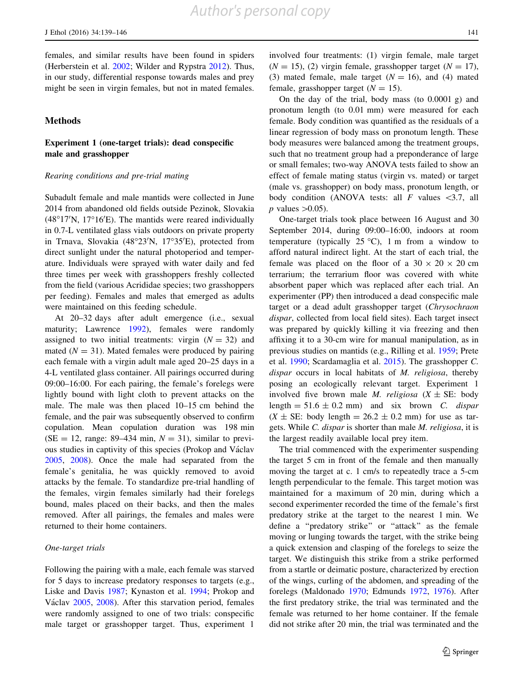females, and similar results have been found in spiders (Herberstein et al. [2002](#page-8-0); Wilder and Rypstra [2012](#page-9-0)). Thus, in our study, differential response towards males and prey might be seen in virgin females, but not in mated females.

## **Methods**

# Experiment 1 (one-target trials): dead conspecific male and grasshopper

#### Rearing conditions and pre-trial mating

Subadult female and male mantids were collected in June 2014 from abandoned old fields outside Pezinok, Slovakia  $(48°17'N, 17°16'E)$ . The mantids were reared individually in 0.7-L ventilated glass vials outdoors on private property in Trnava, Slovakia (48°23'N, 17°35'E), protected from direct sunlight under the natural photoperiod and temperature. Individuals were sprayed with water daily and fed three times per week with grasshoppers freshly collected from the field (various Acrididae species; two grasshoppers per feeding). Females and males that emerged as adults were maintained on this feeding schedule.

At 20–32 days after adult emergence (i.e., sexual maturity; Lawrence [1992](#page-9-0)), females were randomly assigned to two initial treatments: virgin  $(N = 32)$  and mated  $(N = 31)$ . Mated females were produced by pairing each female with a virgin adult male aged 20–25 days in a 4-L ventilated glass container. All pairings occurred during 09:00–16:00. For each pairing, the female's forelegs were lightly bound with light cloth to prevent attacks on the male. The male was then placed 10–15 cm behind the female, and the pair was subsequently observed to confirm copulation. Mean copulation duration was 198 min (SE = 12, range: 89–434 min,  $N = 31$ ), similar to previous studies in captivity of this species (Prokop and Václav [2005,](#page-9-0) [2008](#page-9-0)). Once the male had separated from the female's genitalia, he was quickly removed to avoid attacks by the female. To standardize pre-trial handling of the females, virgin females similarly had their forelegs bound, males placed on their backs, and then the males removed. After all pairings, the females and males were returned to their home containers.

#### One-target trials

Following the pairing with a male, each female was starved for 5 days to increase predatory responses to targets (e.g., Liske and Davis [1987](#page-9-0); Kynaston et al. [1994;](#page-9-0) Prokop and Václav [2005](#page-9-0), [2008\)](#page-9-0). After this starvation period, females were randomly assigned to one of two trials: conspecific male target or grasshopper target. Thus, experiment 1

involved four treatments: (1) virgin female, male target  $(N = 15)$ , (2) virgin female, grasshopper target  $(N = 17)$ , (3) mated female, male target  $(N = 16)$ , and (4) mated female, grasshopper target  $(N = 15)$ .

On the day of the trial, body mass (to 0.0001 g) and pronotum length (to 0.01 mm) were measured for each female. Body condition was quantified as the residuals of a linear regression of body mass on pronotum length. These body measures were balanced among the treatment groups, such that no treatment group had a preponderance of large or small females; two-way ANOVA tests failed to show an effect of female mating status (virgin vs. mated) or target (male vs. grasshopper) on body mass, pronotum length, or body condition (ANOVA tests: all  $F$  values  $\langle 3.7,$  all  $p$  values  $>0.05$ ).

One-target trials took place between 16 August and 30 September 2014, during 09:00–16:00, indoors at room temperature (typically  $25 \degree C$ ), 1 m from a window to afford natural indirect light. At the start of each trial, the female was placed on the floor of a  $30 \times 20 \times 20$  cm terrarium; the terrarium floor was covered with white absorbent paper which was replaced after each trial. An experimenter (PP) then introduced a dead conspecific male target or a dead adult grasshopper target (Chrysochraon dispar, collected from local field sites). Each target insect was prepared by quickly killing it via freezing and then affixing it to a 30-cm wire for manual manipulation, as in previous studies on mantids (e.g., Rilling et al. [1959](#page-9-0); Prete et al. [1990](#page-9-0); Scardamaglia et al. [2015](#page-9-0)). The grasshopper C. dispar occurs in local habitats of M. religiosa, thereby posing an ecologically relevant target. Experiment 1 involved five brown male *M. religiosa*  $(X \pm SE$ : body length =  $51.6 \pm 0.2$  mm) and six brown C. dispar  $(X \pm SE: body length = 26.2 \pm 0.2 mm)$  for use as targets. While C. dispar is shorter than male M. religiosa, it is the largest readily available local prey item.

The trial commenced with the experimenter suspending the target 5 cm in front of the female and then manually moving the target at c. 1 cm/s to repeatedly trace a 5-cm length perpendicular to the female. This target motion was maintained for a maximum of 20 min, during which a second experimenter recorded the time of the female's first predatory strike at the target to the nearest 1 min. We define a ''predatory strike'' or ''attack'' as the female moving or lunging towards the target, with the strike being a quick extension and clasping of the forelegs to seize the target. We distinguish this strike from a strike performed from a startle or deimatic posture, characterized by erection of the wings, curling of the abdomen, and spreading of the forelegs (Maldonado [1970](#page-9-0); Edmunds [1972,](#page-8-0) [1976\)](#page-8-0). After the first predatory strike, the trial was terminated and the female was returned to her home container. If the female did not strike after 20 min, the trial was terminated and the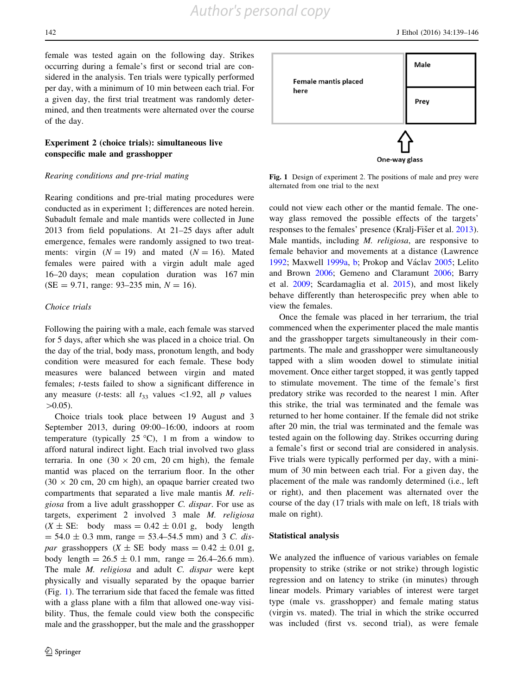142 J Ethol (2016) 34:139–146

female was tested again on the following day. Strikes occurring during a female's first or second trial are considered in the analysis. Ten trials were typically performed per day, with a minimum of 10 min between each trial. For a given day, the first trial treatment was randomly determined, and then treatments were alternated over the course of the day.

# Experiment 2 (choice trials): simultaneous live conspecific male and grasshopper

#### Rearing conditions and pre-trial mating

Rearing conditions and pre-trial mating procedures were conducted as in experiment 1; differences are noted herein. Subadult female and male mantids were collected in June 2013 from field populations. At 21–25 days after adult emergence, females were randomly assigned to two treatments: virgin  $(N = 19)$  and mated  $(N = 16)$ . Mated females were paired with a virgin adult male aged 16–20 days; mean copulation duration was 167 min  $(SE = 9.71, \text{ range: } 93-235 \text{ min}, N = 16).$ 

#### Choice trials

Following the pairing with a male, each female was starved for 5 days, after which she was placed in a choice trial. On the day of the trial, body mass, pronotum length, and body condition were measured for each female. These body measures were balanced between virgin and mated females; t-tests failed to show a significant difference in any measure (*t*-tests: all  $t_{33}$  values <1.92, all *p* values  $>0.05$ ).

Choice trials took place between 19 August and 3 September 2013, during 09:00–16:00, indoors at room temperature (typically  $25^{\circ}$ C), 1 m from a window to afford natural indirect light. Each trial involved two glass terraria. In one  $(30 \times 20 \text{ cm}, 20 \text{ cm} \text{ high})$ , the female mantid was placed on the terrarium floor. In the other  $(30 \times 20 \text{ cm}, 20 \text{ cm} \text{ high})$ , an opaque barrier created two compartments that separated a live male mantis M. religiosa from a live adult grasshopper C. dispar. For use as targets, experiment 2 involved 3 male M. religiosa  $(X \pm SE:$  body mass = 0.42  $\pm$  0.01 g, body length  $= 54.0 \pm 0.3$  mm, range  $= 53.4 - 54.5$  mm) and 3 C. dispar grasshoppers  $(X \pm SE$  body mass = 0.42  $\pm$  0.01 g, body length =  $26.5 \pm 0.1$  mm, range =  $26.4 - 26.6$  mm). The male *M. religiosa* and adult *C. dispar* were kept physically and visually separated by the opaque barrier (Fig. 1). The terrarium side that faced the female was fitted with a glass plane with a film that allowed one-way visibility. Thus, the female could view both the conspecific male and the grasshopper, but the male and the grasshopper



Fig. 1 Design of experiment 2. The positions of male and prey were alternated from one trial to the next

could not view each other or the mantid female. The oneway glass removed the possible effects of the targets' responses to the females' presence (Kralj-Fišer et al. [2013](#page-9-0)). Male mantids, including *M. religiosa*, are responsive to female behavior and movements at a distance (Lawrence [1992](#page-9-0); Maxwell [1999a,](#page-9-0) [b](#page-9-0); Prokop and Václav [2005](#page-9-0); Lelito and Brown [2006](#page-9-0); Gemeno and Claramunt [2006](#page-8-0); Barry et al. [2009;](#page-8-0) Scardamaglia et al. [2015\)](#page-9-0), and most likely behave differently than heterospecific prey when able to view the females.

Once the female was placed in her terrarium, the trial commenced when the experimenter placed the male mantis and the grasshopper targets simultaneously in their compartments. The male and grasshopper were simultaneously tapped with a slim wooden dowel to stimulate initial movement. Once either target stopped, it was gently tapped to stimulate movement. The time of the female's first predatory strike was recorded to the nearest 1 min. After this strike, the trial was terminated and the female was returned to her home container. If the female did not strike after 20 min, the trial was terminated and the female was tested again on the following day. Strikes occurring during a female's first or second trial are considered in analysis. Five trials were typically performed per day, with a minimum of 30 min between each trial. For a given day, the placement of the male was randomly determined (i.e., left or right), and then placement was alternated over the course of the day (17 trials with male on left, 18 trials with male on right).

#### Statistical analysis

We analyzed the influence of various variables on female propensity to strike (strike or not strike) through logistic regression and on latency to strike (in minutes) through linear models. Primary variables of interest were target type (male vs. grasshopper) and female mating status (virgin vs. mated). The trial in which the strike occurred was included (first vs. second trial), as were female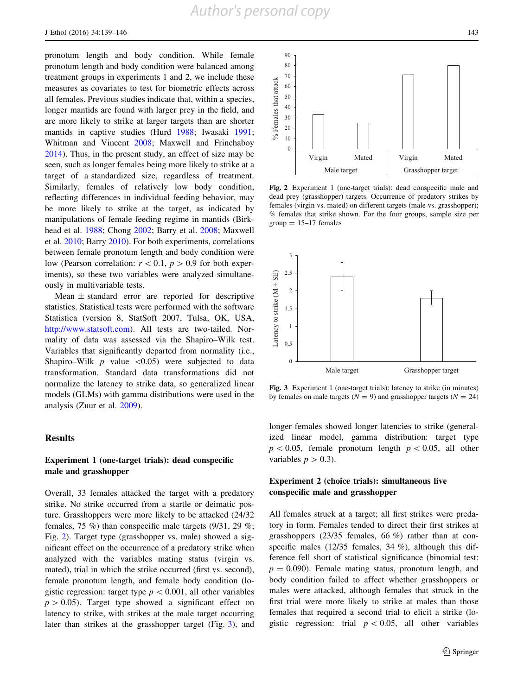pronotum length and body condition. While female pronotum length and body condition were balanced among treatment groups in experiments 1 and 2, we include these measures as covariates to test for biometric effects across all females. Previous studies indicate that, within a species, longer mantids are found with larger prey in the field, and are more likely to strike at larger targets than are shorter mantids in captive studies (Hurd [1988;](#page-8-0) Iwasaki [1991](#page-8-0); Whitman and Vincent [2008;](#page-9-0) Maxwell and Frinchaboy [2014\)](#page-9-0). Thus, in the present study, an effect of size may be seen, such as longer females being more likely to strike at a target of a standardized size, regardless of treatment. Similarly, females of relatively low body condition, reflecting differences in individual feeding behavior, may be more likely to strike at the target, as indicated by manipulations of female feeding regime in mantids (Birkhead et al. [1988;](#page-8-0) Chong [2002](#page-8-0); Barry et al. [2008;](#page-8-0) Maxwell et al. [2010;](#page-9-0) Barry [2010](#page-8-0)). For both experiments, correlations between female pronotum length and body condition were low (Pearson correlation:  $r < 0.1$ ,  $p > 0.9$  for both experiments), so these two variables were analyzed simultaneously in multivariable tests.

Mean  $\pm$  standard error are reported for descriptive statistics. Statistical tests were performed with the software Statistica (version 8, StatSoft 2007, Tulsa, OK, USA, [http://www.statsoft.com\)](http://www.statsoft.com). All tests are two-tailed. Normality of data was assessed via the Shapiro–Wilk test. Variables that significantly departed from normality (i.e., Shapiro–Wilk  $p$  value  $\langle 0.05 \rangle$  were subjected to data transformation. Standard data transformations did not normalize the latency to strike data, so generalized linear models (GLMs) with gamma distributions were used in the analysis (Zuur et al. [2009](#page-9-0)).

#### Results

## Experiment 1 (one-target trials): dead conspecific male and grasshopper

Overall, 33 females attacked the target with a predatory strike. No strike occurred from a startle or deimatic posture. Grasshoppers were more likely to be attacked (24/32 females, 75 %) than conspecific male targets (9/31, 29 %; Fig. 2). Target type (grasshopper vs. male) showed a significant effect on the occurrence of a predatory strike when analyzed with the variables mating status (virgin vs. mated), trial in which the strike occurred (first vs. second), female pronotum length, and female body condition (logistic regression: target type  $p < 0.001$ , all other variables  $p > 0.05$ ). Target type showed a significant effect on latency to strike, with strikes at the male target occurring later than strikes at the grasshopper target (Fig. 3), and



Fig. 2 Experiment 1 (one-target trials): dead conspecific male and dead prey (grasshopper) targets. Occurrence of predatory strikes by females (virgin vs. mated) on different targets (male vs. grasshopper); % females that strike shown. For the four groups, sample size per  $group = 15-17$  females



Fig. 3 Experiment 1 (one-target trials): latency to strike (in minutes) by females on male targets ( $N = 9$ ) and grasshopper targets ( $N = 24$ )

longer females showed longer latencies to strike (generalized linear model, gamma distribution: target type  $p<0.05$ , female pronotum length  $p<0.05$ , all other variables  $p > 0.3$ ).

#### Experiment 2 (choice trials): simultaneous live conspecific male and grasshopper

All females struck at a target; all first strikes were predatory in form. Females tended to direct their first strikes at grasshoppers (23/35 females, 66 %) rather than at conspecific males (12/35 females, 34 %), although this difference fell short of statistical significance (binomial test:  $p = 0.090$ . Female mating status, pronotum length, and body condition failed to affect whether grasshoppers or males were attacked, although females that struck in the first trial were more likely to strike at males than those females that required a second trial to elicit a strike (logistic regression: trial  $p < 0.05$ , all other variables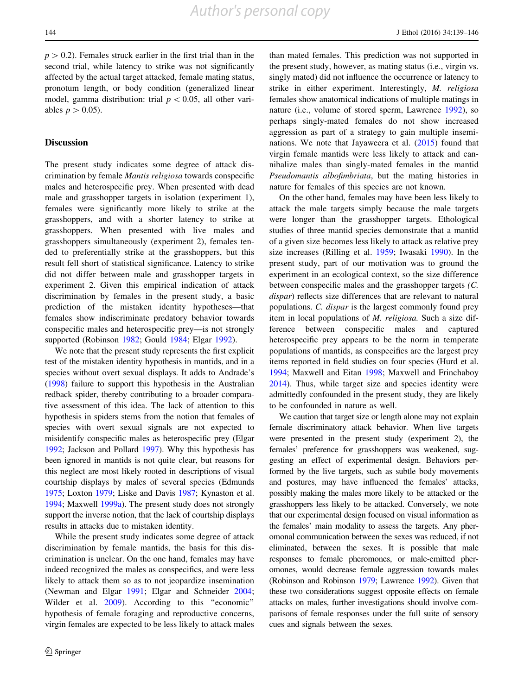$p > 0.2$ ). Females struck earlier in the first trial than in the second trial, while latency to strike was not significantly affected by the actual target attacked, female mating status, pronotum length, or body condition (generalized linear model, gamma distribution: trial  $p < 0.05$ , all other variables  $p > 0.05$ ).

#### **Discussion**

The present study indicates some degree of attack discrimination by female Mantis religiosa towards conspecific males and heterospecific prey. When presented with dead male and grasshopper targets in isolation (experiment 1), females were significantly more likely to strike at the grasshoppers, and with a shorter latency to strike at grasshoppers. When presented with live males and grasshoppers simultaneously (experiment 2), females tended to preferentially strike at the grasshoppers, but this result fell short of statistical significance. Latency to strike did not differ between male and grasshopper targets in experiment 2. Given this empirical indication of attack discrimination by females in the present study, a basic prediction of the mistaken identity hypotheses—that females show indiscriminate predatory behavior towards conspecific males and heterospecific prey—is not strongly supported (Robinson [1982;](#page-9-0) Gould [1984;](#page-8-0) Elgar [1992](#page-8-0)).

We note that the present study represents the first explicit test of the mistaken identity hypothesis in mantids, and in a species without overt sexual displays. It adds to Andrade's [\(1998\)](#page-8-0) failure to support this hypothesis in the Australian redback spider, thereby contributing to a broader comparative assessment of this idea. The lack of attention to this hypothesis in spiders stems from the notion that females of species with overt sexual signals are not expected to misidentify conspecific males as heterospecific prey (Elgar [1992;](#page-8-0) Jackson and Pollard [1997\)](#page-8-0). Why this hypothesis has been ignored in mantids is not quite clear, but reasons for this neglect are most likely rooted in descriptions of visual courtship displays by males of several species (Edmunds [1975;](#page-8-0) Loxton [1979;](#page-9-0) Liske and Davis [1987](#page-9-0); Kynaston et al. [1994;](#page-9-0) Maxwell [1999a](#page-9-0)). The present study does not strongly support the inverse notion, that the lack of courtship displays results in attacks due to mistaken identity.

While the present study indicates some degree of attack discrimination by female mantids, the basis for this discrimination is unclear. On the one hand, females may have indeed recognized the males as conspecifics, and were less likely to attack them so as to not jeopardize insemination (Newman and Elgar [1991](#page-9-0); Elgar and Schneider [2004](#page-8-0); Wilder et al. [2009\)](#page-9-0). According to this "economic" hypothesis of female foraging and reproductive concerns, virgin females are expected to be less likely to attack males

than mated females. This prediction was not supported in the present study, however, as mating status (i.e., virgin vs. singly mated) did not influence the occurrence or latency to strike in either experiment. Interestingly, M. religiosa females show anatomical indications of multiple matings in nature (i.e., volume of stored sperm, Lawrence [1992\)](#page-9-0), so perhaps singly-mated females do not show increased aggression as part of a strategy to gain multiple inseminations. We note that Jayaweera et al. [\(2015](#page-9-0)) found that virgin female mantids were less likely to attack and cannibalize males than singly-mated females in the mantid Pseudomantis albofimbriata, but the mating histories in nature for females of this species are not known.

On the other hand, females may have been less likely to attack the male targets simply because the male targets were longer than the grasshopper targets. Ethological studies of three mantid species demonstrate that a mantid of a given size becomes less likely to attack as relative prey size increases (Rilling et al. [1959](#page-9-0); Iwasaki [1990\)](#page-8-0). In the present study, part of our motivation was to ground the experiment in an ecological context, so the size difference between conspecific males and the grasshopper targets (C. dispar) reflects size differences that are relevant to natural populations. C. dispar is the largest commonly found prey item in local populations of M. religiosa. Such a size difference between conspecific males and captured heterospecific prey appears to be the norm in temperate populations of mantids, as conspecifics are the largest prey items reported in field studies on four species (Hurd et al. [1994](#page-8-0); Maxwell and Eitan [1998;](#page-9-0) Maxwell and Frinchaboy [2014](#page-9-0)). Thus, while target size and species identity were admittedly confounded in the present study, they are likely to be confounded in nature as well.

We caution that target size or length alone may not explain female discriminatory attack behavior. When live targets were presented in the present study (experiment 2), the females' preference for grasshoppers was weakened, suggesting an effect of experimental design. Behaviors performed by the live targets, such as subtle body movements and postures, may have influenced the females' attacks, possibly making the males more likely to be attacked or the grasshoppers less likely to be attacked. Conversely, we note that our experimental design focused on visual information as the females' main modality to assess the targets. Any pheromonal communication between the sexes was reduced, if not eliminated, between the sexes. It is possible that male responses to female pheromones, or male-emitted pheromones, would decrease female aggression towards males (Robinson and Robinson [1979;](#page-9-0) Lawrence [1992\)](#page-9-0). Given that these two considerations suggest opposite effects on female attacks on males, further investigations should involve comparisons of female responses under the full suite of sensory cues and signals between the sexes.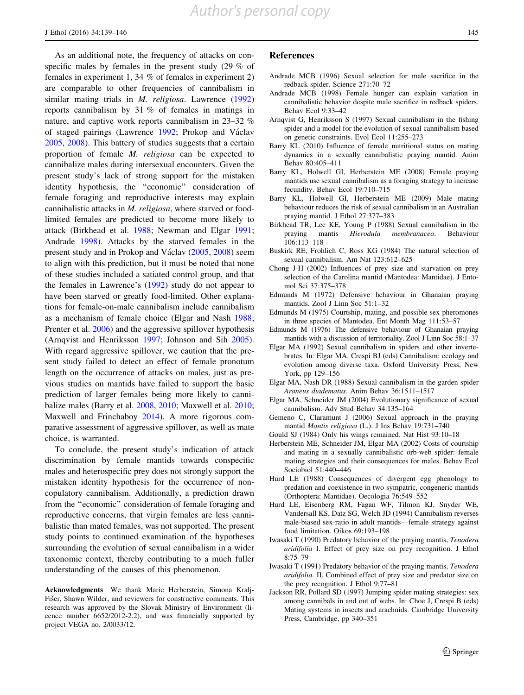<span id="page-8-0"></span>As an additional note, the frequency of attacks on conspecific males by females in the present study (29 % of females in experiment 1, 34 % of females in experiment 2) are comparable to other frequencies of cannibalism in similar mating trials in *M. religiosa*. Lawrence ([1992\)](#page-9-0) reports cannibalism by 31 % of females in matings in nature, and captive work reports cannibalism in 23–32 % of staged pairings (Lawrence [1992;](#page-9-0) Prokop and Václav [2005,](#page-9-0) [2008](#page-9-0)). This battery of studies suggests that a certain proportion of female M. religiosa can be expected to cannibalize males during intersexual encounters. Given the present study's lack of strong support for the mistaken identity hypothesis, the ''economic'' consideration of female foraging and reproductive interests may explain cannibalistic attacks in M. religiosa, where starved or foodlimited females are predicted to become more likely to attack (Birkhead et al. 1988; Newman and Elgar [1991](#page-9-0); Andrade 1998). Attacks by the starved females in the present study and in Prokop and Václav [\(2005](#page-9-0), [2008\)](#page-9-0) seem to align with this prediction, but it must be noted that none of these studies included a satiated control group, and that the females in Lawrence's ([1992\)](#page-9-0) study do not appear to have been starved or greatly food-limited. Other explanations for female-on-male cannibalism include cannibalism as a mechanism of female choice (Elgar and Nash 1988; Prenter et al. [2006](#page-9-0)) and the aggressive spillover hypothesis (Arnqvist and Henriksson 1997; Johnson and Sih [2005](#page-9-0)). With regard aggressive spillover, we caution that the present study failed to detect an effect of female pronotum length on the occurrence of attacks on males, just as previous studies on mantids have failed to support the basic prediction of larger females being more likely to cannibalize males (Barry et al. 2008, 2010; Maxwell et al. [2010](#page-9-0); Maxwell and Frinchaboy [2014\)](#page-9-0). A more rigorous comparative assessment of aggressive spillover, as well as mate choice, is warranted.

To conclude, the present study's indication of attack discrimination by female mantids towards conspecific males and heterospecific prey does not strongly support the mistaken identity hypothesis for the occurrence of noncopulatory cannibalism. Additionally, a prediction drawn from the ''economic'' consideration of female foraging and reproductive concerns, that virgin females are less cannibalistic than mated females, was not supported. The present study points to continued examination of the hypotheses surrounding the evolution of sexual cannibalism in a wider taxonomic context, thereby contributing to a much fuller understanding of the causes of this phenomenon.

Acknowledgments We thank Marie Herberstein, Simona Kralj-Fišer, Shawn Wilder, and reviewers for constructive comments. This research was approved by the Slovak Ministry of Environment (licence number 6652/2012-2.2), and was financially supported by project VEGA no. 2/0033/12.

#### References

- Andrade MCB (1996) Sexual selection for male sacrifice in the redback spider. Science 271:70–72
- Andrade MCB (1998) Female hunger can explain variation in cannibalistic behavior despite male sacrifice in redback spiders. Behav Ecol 9:33–42
- Arnqvist G, Henriksson S (1997) Sexual cannibalism in the fishing spider and a model for the evolution of sexual cannibalism based on genetic constraints. Evol Ecol 11:255–273
- Barry KL (2010) Influence of female nutritional status on mating dynamics in a sexually cannibalistic praying mantid. Anim Behav 80:405–411
- Barry KL, Holwell GI, Herberstein ME (2008) Female praying mantids use sexual cannibalism as a foraging strategy to increase fecundity. Behav Ecol 19:710–715
- Barry KL, Holwell GI, Herberstein ME (2009) Male mating behaviour reduces the risk of sexual cannibalism in an Australian praying mantid. J Ethol 27:377–383
- Birkhead TR, Lee KE, Young P (1988) Sexual cannibalism in the praying mantis Hierodula membranacea. Behaviour 106:113–118
- Buskirk RE, Frohlich C, Ross KG (1984) The natural selection of sexual cannibalism. Am Nat 123:612–625
- Chong J-H (2002) Influences of prey size and starvation on prey selection of the Carolina mantid (Mantodea: Mantidae). J Entomol Sci 37:375–378
- Edmunds M (1972) Defensive hehaviour in Ghanaian praying mantids. Zool J Linn Soc 51:1–32
- Edmunds M (1975) Courtship, mating, and possible sex pheromones in three species of Mantodea. Ent Month Mag 111:53–57
- Edmunds M (1976) The defensive behaviour of Ghanaian praying mantids with a discussion of territoriality. Zool J Linn Soc 58:1–37
- Elgar MA (1992) Sexual cannibalism in spiders and other invertebrates. In: Elgar MA, Crespi BJ (eds) Cannibalism: ecology and evolution among diverse taxa. Oxford University Press, New York, pp 129–156
- Elgar MA, Nash DR (1988) Sexual cannibalism in the garden spider Araneus diadematus. Anim Behav 36:1511–1517
- Elgar MA, Schneider JM (2004) Evolutionary significance of sexual cannibalism. Adv Stud Behav 34:135–164
- Gemeno C, Claramunt J (2006) Sexual approach in the praying mantid Mantis religiosa (L.). J Ins Behav 19:731–740
- Gould SJ (1984) Only his wings remained. Nat Hist 93:10–18
- Herberstein ME, Schneider JM, Elgar MA (2002) Costs of courtship and mating in a sexually cannibalistic orb-web spider: female mating strategies and their consequences for males. Behav Ecol Sociobiol 51:440–446
- Hurd LE (1988) Consequences of divergent egg phenology to predation and coexistence in two sympatric, congeneric mantids (Orthoptera: Mantidae). Oecologia 76:549–552
- Hurd LE, Eisenberg RM, Fagan WF, Tilmon KJ, Snyder WE, Vandersall KS, Datz SG, Welch JD (1994) Cannibalism reverses male-biased sex-ratio in adult mantids—female strategy against food limitation. Oikos 69:193–198
- Iwasaki T (1990) Predatory behavior of the praying mantis, Tenodera aridifolia I. Effect of prey size on prey recognition. J Ethol 8:75–79
- Iwasaki T (1991) Predatory behavior of the praying mantis, Tenodera aridifolia. II. Combined effect of prey size and predator size on the prey recognition. J Ethol 9:77–81
- Jackson RR, Pollard SD (1997) Jumping spider mating strategies: sex among cannibals in and out of webs. In: Choe J, Crespi B (eds) Mating systems in insects and arachnids. Cambridge University Press, Cambridge, pp 340–351